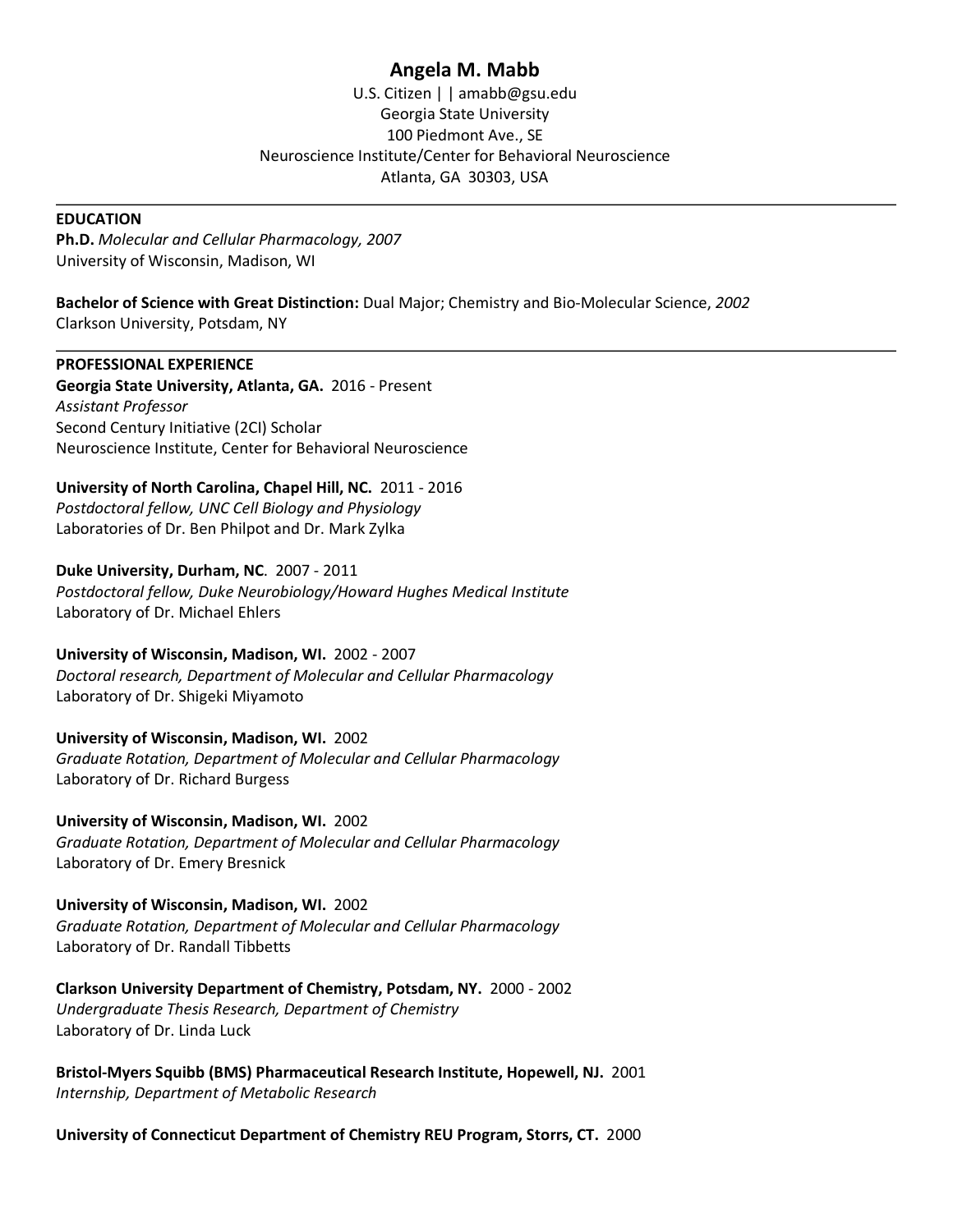# **Angela M. Mabb**

U.S. Citizen | | amabb@gsu.edu Georgia State University 100 Piedmont Ave., SE Neuroscience Institute/Center for Behavioral Neuroscience Atlanta, GA 30303, USA

#### **EDUCATION**

**Ph.D.** *Molecular and Cellular Pharmacology, 2007* University of Wisconsin, Madison, WI

**Bachelor of Science with Great Distinction:** Dual Major; Chemistry and Bio-Molecular Science, *2002* Clarkson University, Potsdam, NY

**PROFESSIONAL EXPERIENCE**

**Georgia State University, Atlanta, GA.** 2016 - Present *Assistant Professor* Second Century Initiative (2CI) Scholar Neuroscience Institute, Center for Behavioral Neuroscience

**University of North Carolina, Chapel Hill, NC.** 2011 - 2016 *Postdoctoral fellow, UNC Cell Biology and Physiology* Laboratories of Dr. Ben Philpot and Dr. Mark Zylka

#### **Duke University, Durham, NC**. 2007 - 2011

*Postdoctoral fellow, Duke Neurobiology/Howard Hughes Medical Institute* Laboratory of Dr. Michael Ehlers

**University of Wisconsin, Madison, WI.** 2002 - 2007

*Doctoral research, Department of Molecular and Cellular Pharmacology* Laboratory of Dr. Shigeki Miyamoto

#### **University of Wisconsin, Madison, WI.** 2002

*Graduate Rotation, Department of Molecular and Cellular Pharmacology* Laboratory of Dr. Richard Burgess

**University of Wisconsin, Madison, WI.** 2002 *Graduate Rotation, Department of Molecular and Cellular Pharmacology* Laboratory of Dr. Emery Bresnick

**University of Wisconsin, Madison, WI.** 2002 *Graduate Rotation, Department of Molecular and Cellular Pharmacology* Laboratory of Dr. Randall Tibbetts

**Clarkson University Department of Chemistry, Potsdam, NY.** 2000 - 2002 *Undergraduate Thesis Research, Department of Chemistry* Laboratory of Dr. Linda Luck

**Bristol-Myers Squibb (BMS) Pharmaceutical Research Institute, Hopewell, NJ.** 2001 *Internship, Department of Metabolic Research*

**University of Connecticut Department of Chemistry REU Program, Storrs, CT.** 2000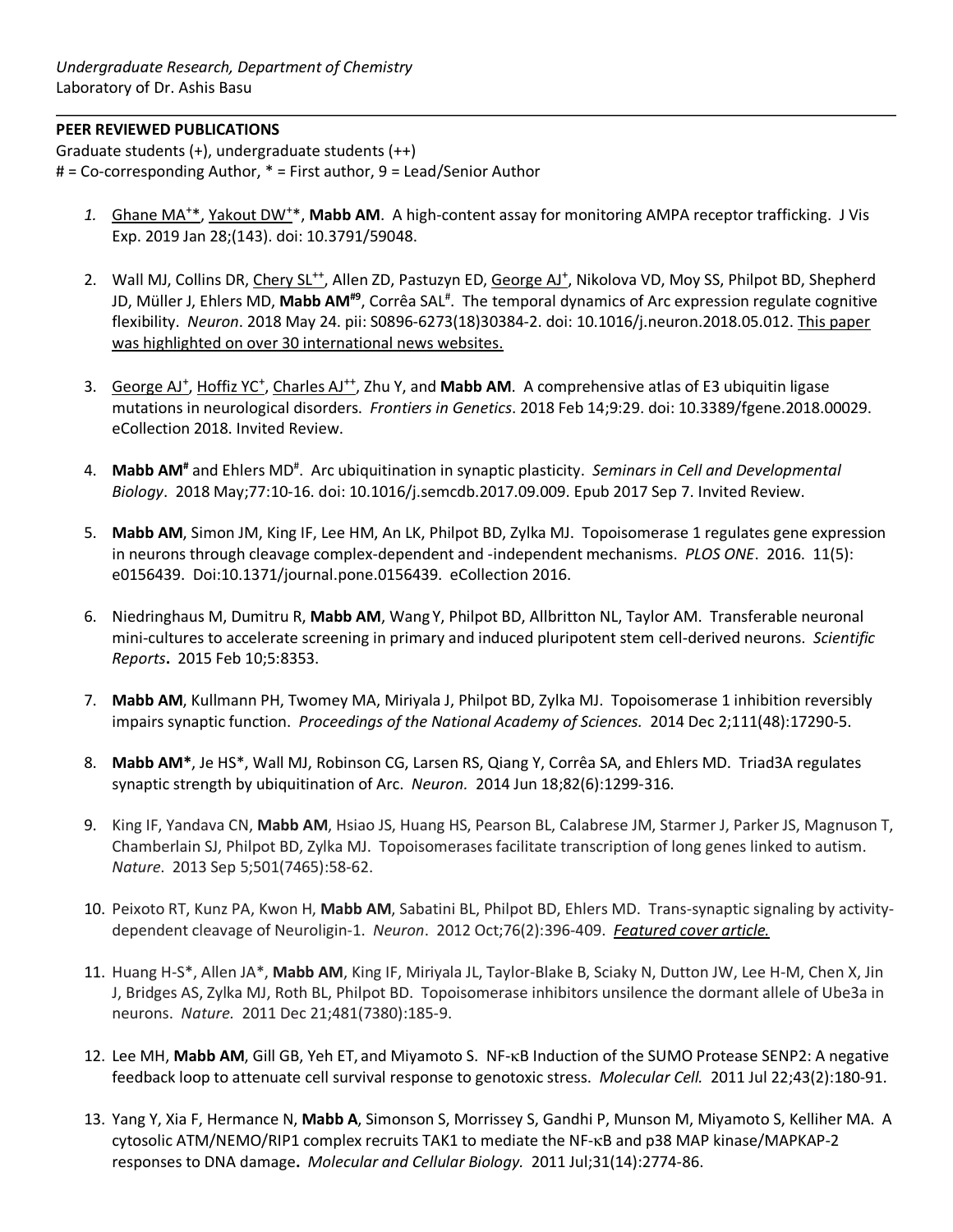## **PEER REVIEWED PUBLICATIONS**

Graduate students (+), undergraduate students (++) # = Co-corresponding Author, \* = First author, 9 = Lead/Senior Author

- 1. Ghane MA<sup>+\*</sup>, Yakout DW<sup>+\*</sup>, Mabb AM. A high-content assay for monitoring AMPA receptor trafficking. J Vis Exp. 2019 Jan 28;(143). doi: 10.3791/59048.
- 2. Wall MJ, Collins DR, Chery SL<sup>++</sup>, Allen ZD, Pastuzyn ED, George AJ<sup>+</sup>, Nikolova VD, Moy SS, Philpot BD, Shepherd JD, Müller J, Ehlers MD, **Mabb AM<sup>#9</sup>**, Corrêa SAL<sup>#</sup>. The temporal dynamics of Arc expression regulate cognitive flexibility. *Neuron*. 2018 May 24. pii: S0896-6273(18)30384-2. doi: 10.1016/j.neuron.2018.05.012. This paper was highlighted on over 30 international news websites.
- 3. George AJ<sup>+</sup>, Hoffiz YC<sup>+</sup>, Charles AJ<sup>++</sup>, Zhu Y, and Mabb AM. A comprehensive atlas of E3 ubiquitin ligase mutations in neurological disorders. *Frontiers in Genetics*. 2018 Feb 14;9:29. doi: 10.3389/fgene.2018.00029. eCollection 2018. Invited Review.
- 4. **Mabb AM#** and Ehlers MD# . Arc ubiquitination in synaptic plasticity. *Seminars in Cell and Developmental Biology*. 2018 May;77:10-16. doi: 10.1016/j.semcdb.2017.09.009. Epub 2017 Sep 7. Invited Review.
- 5. **Mabb AM**, Simon JM, King IF, Lee HM, An LK, Philpot BD, Zylka MJ. Topoisomerase 1 regulates gene expression in neurons through cleavage complex-dependent and -independent mechanisms. *PLOS ONE*. 2016. 11(5): e0156439. Doi:10.1371/journal.pone.0156439. eCollection 2016.
- 6. Niedringhaus M, Dumitru R, **Mabb AM**, Wang Y, Philpot BD, Allbritton NL, Taylor AM. Transferable neuronal mini-cultures to accelerate screening in primary and induced pluripotent stem cell-derived neurons. *Scientific Reports***.** 2015 Feb 10;5:8353.
- 7. **Mabb AM**, Kullmann PH, Twomey MA, Miriyala J, Philpot BD, Zylka MJ. Topoisomerase 1 inhibition reversibly impairs synaptic function. *Proceedings of the National Academy of Sciences.* 2014 Dec 2;111(48):17290-5.
- 8. **Mabb AM\***, Je HS\*, Wall MJ, Robinson CG, Larsen RS, Qiang Y, Corrêa SA, and Ehlers MD. Triad3A regulates synaptic strength by ubiquitination of Arc.*Neuron.* 2014 Jun 18;82(6):1299-316.
- 9. King IF, Yandava CN, **Mabb AM**, Hsiao JS, Huang HS, Pearson BL, Calabrese JM, Starmer J, Parker JS, Magnuson T, Chamberlain SJ, Philpot BD, Zylka MJ. Topoisomerases facilitate transcription of long genes linked to autism. *Nature*. 2013 Sep 5;501(7465):58-62.
- 10. Peixoto RT, Kunz PA, Kwon H, **Mabb AM**, Sabatini BL, Philpot BD, Ehlers MD. Trans-synaptic signaling by activitydependent cleavage of Neuroligin-1. *Neuron*. 2012 Oct;76(2):396-409. *Featured cover article.*
- 11. Huang H-S\*, Allen JA\*, **Mabb AM**, King IF, Miriyala JL, Taylor-Blake B, Sciaky N, Dutton JW, Lee H-M, Chen X, Jin J, Bridges AS, Zylka MJ, Roth BL, Philpot BD. Topoisomerase inhibitors unsilence the dormant allele of Ube3a in neurons. *Nature.* 2011 Dec 21;481(7380):185-9.
- 12. Lee MH, **Mabb AM**, Gill GB, Yeh ET, and Miyamoto S. NF-kB Induction of the SUMO Protease SENP2: A negative feedback loop to attenuate cell survival response to genotoxic stress. *Molecular Cell.* 2011 Jul 22;43(2):180-91.
- 13. Yang Y, Xia F, Hermance N, **Mabb A**, Simonson S, Morrissey S, Gandhi P, Munson M, Miyamoto S, Kelliher MA. A cytosolic ATM/NEMO/RIP1 complex recruits TAK1 to mediate the NF-kB and p38 MAP kinase/MAPKAP-2 responses to DNA damage**.** *Molecular and Cellular Biology.* 2011 Jul;31(14):2774-86.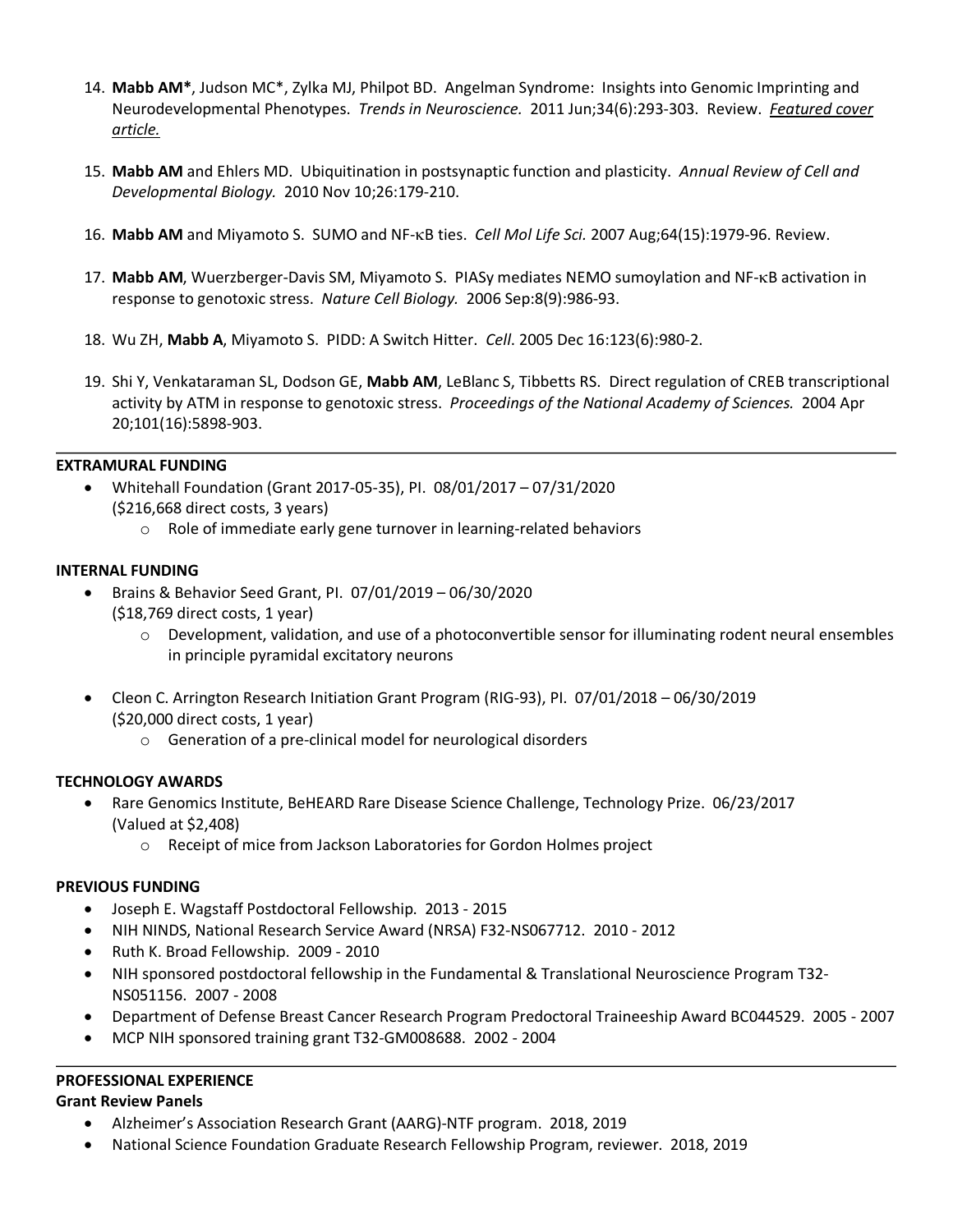- 14. **Mabb AM\***, Judson MC\*, Zylka MJ, Philpot BD. Angelman Syndrome: Insights into Genomic Imprinting and Neurodevelopmental Phenotypes. *Trends in Neuroscience.* 2011 Jun;34(6):293-303. Review. *Featured cover article.*
- 15. **Mabb AM** and Ehlers MD. Ubiquitination in postsynaptic function and plasticity. *Annual Review of Cell and Developmental Biology.* 2010 Nov 10;26:179-210.
- 16. **Mabb AM** and Miyamoto S. SUMO and NF-kB ties. *Cell Mol Life Sci.* 2007 Aug;64(15):1979-96. Review.
- 17. **Mabb AM**, Wuerzberger-Davis SM, Miyamoto S. PIASy mediates NEMO sumoylation and NF-kB activation in response to genotoxic stress. *Nature Cell Biology.* 2006 Sep:8(9):986-93.
- 18. Wu ZH, **Mabb A**, Miyamoto S. PIDD: A Switch Hitter. *Cell*. 2005 Dec 16:123(6):980-2.
- 19. Shi Y, Venkataraman SL, Dodson GE, **Mabb AM**, LeBlanc S, Tibbetts RS. Direct regulation of CREB transcriptional activity by ATM in response to genotoxic stress. *Proceedings of the National Academy of Sciences.* 2004 Apr 20;101(16):5898-903.

#### **EXTRAMURAL FUNDING**

- Whitehall Foundation (Grant 2017-05-35), PI. 08/01/2017 07/31/2020 (\$216,668 direct costs, 3 years)
	- o Role of immediate early gene turnover in learning-related behaviors

#### **INTERNAL FUNDING**

- Brains & Behavior Seed Grant, PI. 07/01/2019 06/30/2020
	- (\$18,769 direct costs, 1 year)
		- $\circ$  Development, validation, and use of a photoconvertible sensor for illuminating rodent neural ensembles in principle pyramidal excitatory neurons
- Cleon C. Arrington Research Initiation Grant Program (RIG-93), PI. 07/01/2018 06/30/2019 (\$20,000 direct costs, 1 year)
	- o Generation of a pre-clinical model for neurological disorders

#### **TECHNOLOGY AWARDS**

- Rare Genomics Institute, BeHEARD Rare Disease Science Challenge, Technology Prize. 06/23/2017 (Valued at \$2,408)
	- o Receipt of mice from Jackson Laboratories for Gordon Holmes project

#### **PREVIOUS FUNDING**

- Joseph E. Wagstaff Postdoctoral Fellowship. 2013 2015
- NIH NINDS, National Research Service Award (NRSA) F32-NS067712. 2010 2012
- Ruth K. Broad Fellowship. 2009 2010
- NIH sponsored postdoctoral fellowship in the Fundamental & Translational Neuroscience Program T32- NS051156. 2007 - 2008
- Department of Defense Breast Cancer Research Program Predoctoral Traineeship Award BC044529. 2005 2007
- MCP NIH sponsored training grant T32-GM008688. 2002 2004

## **PROFESSIONAL EXPERIENCE**

**Grant Review Panels**

- Alzheimer's Association Research Grant (AARG)-NTF program. 2018, 2019
- National Science Foundation Graduate Research Fellowship Program, reviewer. 2018, 2019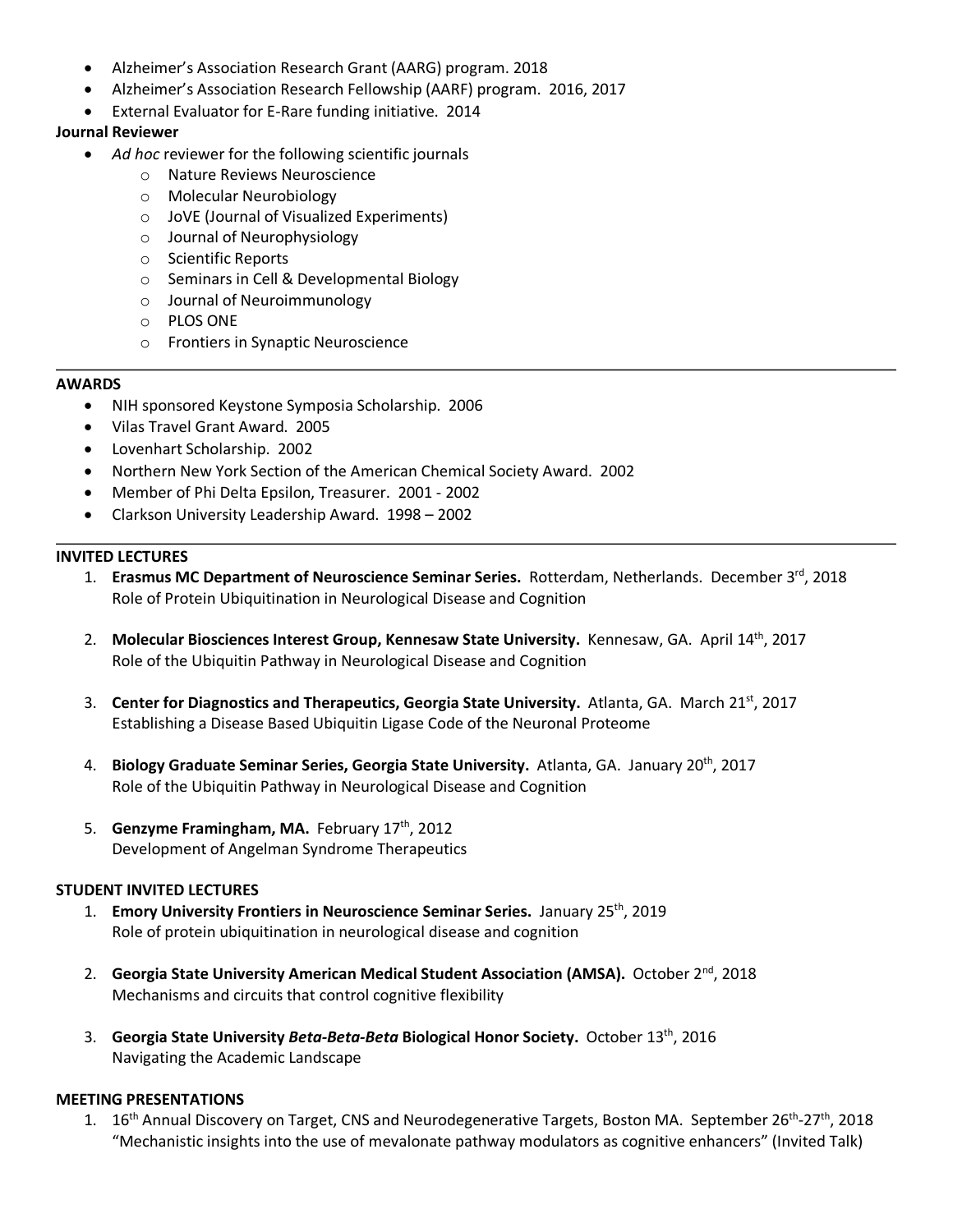- Alzheimer's Association Research Grant (AARG) program. 2018
- Alzheimer's Association Research Fellowship (AARF) program. 2016, 2017
- External Evaluator for E-Rare funding initiative. 2014

## **Journal Reviewer**

- *Ad hoc* reviewer for the following scientific journals
	- o Nature Reviews Neuroscience
	- o Molecular Neurobiology
	- o JoVE (Journal of Visualized Experiments)
	- o Journal of Neurophysiology
	- o Scientific Reports
	- o Seminars in Cell & Developmental Biology
	- o Journal of Neuroimmunology
	- o PLOS ONE
	- o Frontiers in Synaptic Neuroscience

#### **AWARDS**

- NIH sponsored Keystone Symposia Scholarship. 2006
- Vilas Travel Grant Award. 2005
- Lovenhart Scholarship. 2002
- Northern New York Section of the American Chemical Society Award. 2002
- Member of Phi Delta Epsilon, Treasurer. 2001 2002
- Clarkson University Leadership Award. 1998 2002

#### **INVITED LECTURES**

- 1. **Erasmus MC Department of Neuroscience Seminar Series.** Rotterdam, Netherlands. December 3rd, 2018 Role of Protein Ubiquitination in Neurological Disease and Cognition
- 2. **Molecular Biosciences Interest Group, Kennesaw State University.** Kennesaw, GA. April 14th, 2017 Role of the Ubiquitin Pathway in Neurological Disease and Cognition
- 3. **Center for Diagnostics and Therapeutics, Georgia State University.** Atlanta, GA. March 21st, 2017 Establishing a Disease Based Ubiquitin Ligase Code of the Neuronal Proteome
- 4. **Biology Graduate Seminar Series, Georgia State University.** Atlanta, GA. January 20th, 2017 Role of the Ubiquitin Pathway in Neurological Disease and Cognition
- 5. **Genzyme Framingham, MA.** February 17<sup>th</sup>, 2012 Development of Angelman Syndrome Therapeutics

#### **STUDENT INVITED LECTURES**

- 1. **Emory University Frontiers in Neuroscience Seminar Series.** January 25th, 2019 Role of protein ubiquitination in neurological disease and cognition
- 2. **Georgia State University American Medical Student Association (AMSA).** October 2<sup>nd</sup>, 2018 Mechanisms and circuits that control cognitive flexibility
- 3. **Georgia State University** *Beta-Beta-Beta* **Biological Honor Society.** October 13th, 2016 Navigating the Academic Landscape

#### **MEETING PRESENTATIONS**

1. 16<sup>th</sup> Annual Discovery on Target, CNS and Neurodegenerative Targets, Boston MA. September 26<sup>th</sup>-27<sup>th</sup>, 2018 "Mechanistic insights into the use of mevalonate pathway modulators as cognitive enhancers" (Invited Talk)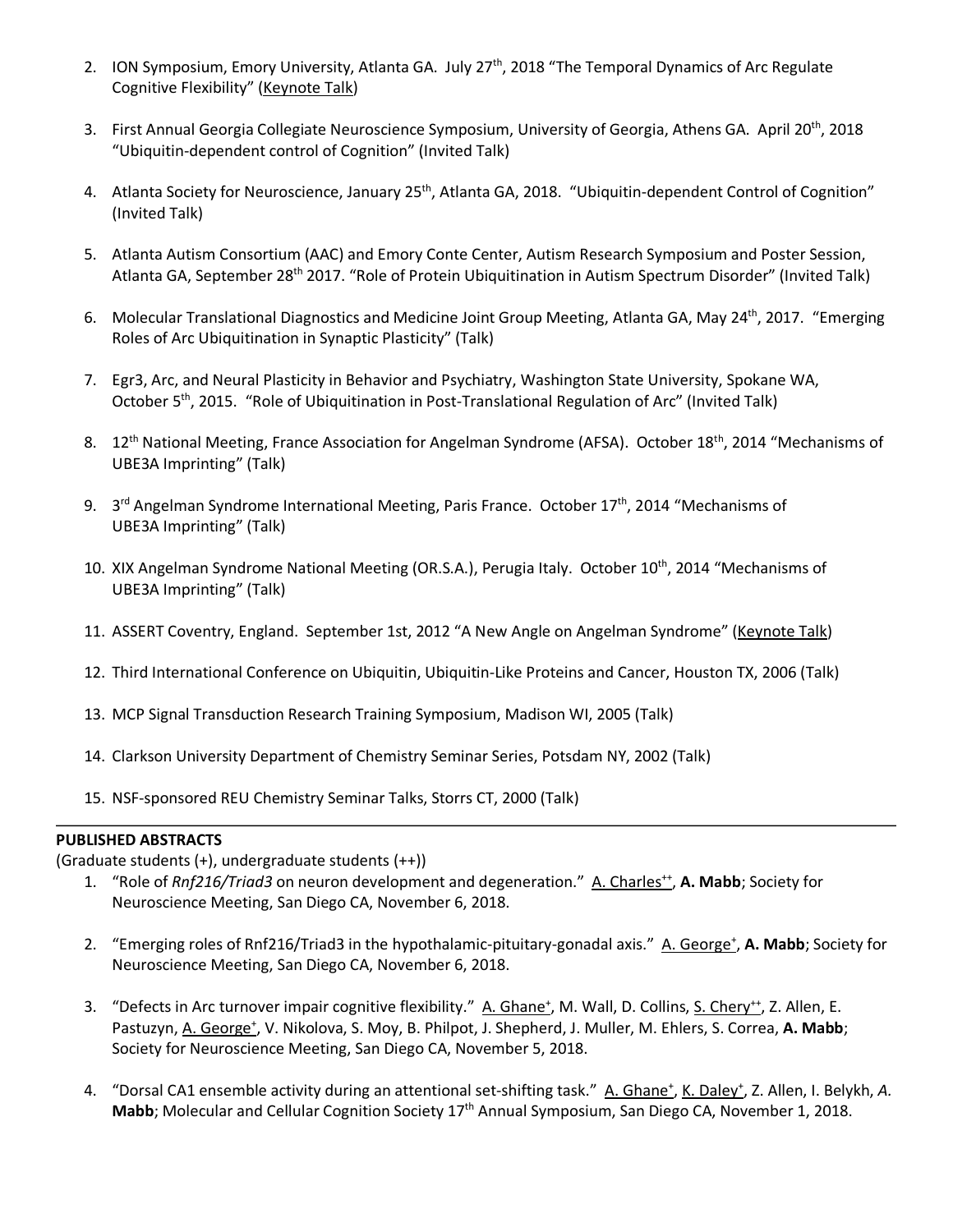- 2. ION Symposium, Emory University, Atlanta GA. July 27<sup>th</sup>, 2018 "The Temporal Dynamics of Arc Regulate Cognitive Flexibility" (Keynote Talk)
- 3. First Annual Georgia Collegiate Neuroscience Symposium, University of Georgia, Athens GA. April 20<sup>th</sup>, 2018 "Ubiquitin-dependent control of Cognition" (Invited Talk)
- 4. Atlanta Society for Neuroscience, January 25<sup>th</sup>, Atlanta GA, 2018. "Ubiquitin-dependent Control of Cognition" (Invited Talk)
- 5. Atlanta Autism Consortium (AAC) and Emory Conte Center, Autism Research Symposium and Poster Session, Atlanta GA, September 28th 2017. "Role of Protein Ubiquitination in Autism Spectrum Disorder" (Invited Talk)
- 6. Molecular Translational Diagnostics and Medicine Joint Group Meeting, Atlanta GA, May 24th, 2017. "Emerging Roles of Arc Ubiquitination in Synaptic Plasticity" (Talk)
- 7. Egr3, Arc, and Neural Plasticity in Behavior and Psychiatry, Washington State University, Spokane WA, October 5<sup>th</sup>, 2015. "Role of Ubiquitination in Post-Translational Regulation of Arc" (Invited Talk)
- 8. 12<sup>th</sup> National Meeting, France Association for Angelman Syndrome (AFSA). October 18<sup>th</sup>, 2014 "Mechanisms of UBE3A Imprinting" (Talk)
- 9. 3<sup>rd</sup> Angelman Syndrome International Meeting, Paris France. October 17<sup>th</sup>, 2014 "Mechanisms of UBE3A Imprinting" (Talk)
- 10. XIX Angelman Syndrome National Meeting (OR.S.A.), Perugia Italy. October 10<sup>th</sup>, 2014 "Mechanisms of UBE3A Imprinting" (Talk)
- 11. ASSERT Coventry, England. September 1st, 2012 "A New Angle on Angelman Syndrome" (Keynote Talk)
- 12. Third International Conference on Ubiquitin, Ubiquitin-Like Proteins and Cancer, Houston TX, 2006 (Talk)
- 13. MCP Signal Transduction Research Training Symposium, Madison WI, 2005 (Talk)
- 14. Clarkson University Department of Chemistry Seminar Series, Potsdam NY, 2002 (Talk)
- 15. NSF-sponsored REU Chemistry Seminar Talks, Storrs CT, 2000 (Talk)

## **PUBLISHED ABSTRACTS**

(Graduate students (+), undergraduate students (++))

- 1. "Role of *Rnf216/Triad3* on neuron development and degeneration." A. Charles<sup>++</sup>, A. Mabb; Society for Neuroscience Meeting, San Diego CA, November 6, 2018.
- 2. "Emerging roles of Rnf216/Triad3 in the hypothalamic-pituitary-gonadal axis." A. George<sup>+</sup>, A. Mabb; Society for Neuroscience Meeting, San Diego CA, November 6, 2018.
- 3. "Defects in Arc turnover impair cognitive flexibility." A. Ghane<sup>+</sup>, M. Wall, D. Collins, S. Chery<sup>++</sup>, Z. Allen, E. Pastuzyn, A. George<sup>+</sup>, V. Nikolova, S. Moy, B. Philpot, J. Shepherd, J. Muller, M. Ehlers, S. Correa, A. Mabb; Society for Neuroscience Meeting, San Diego CA, November 5, 2018.
- 4. "Dorsal CA1 ensemble activity during an attentional set-shifting task." A. Ghane<sup>+</sup>, K. Daley<sup>+</sup>, Z. Allen, I. Belykh, A. Mabb; Molecular and Cellular Cognition Society 17<sup>th</sup> Annual Symposium, San Diego CA, November 1, 2018.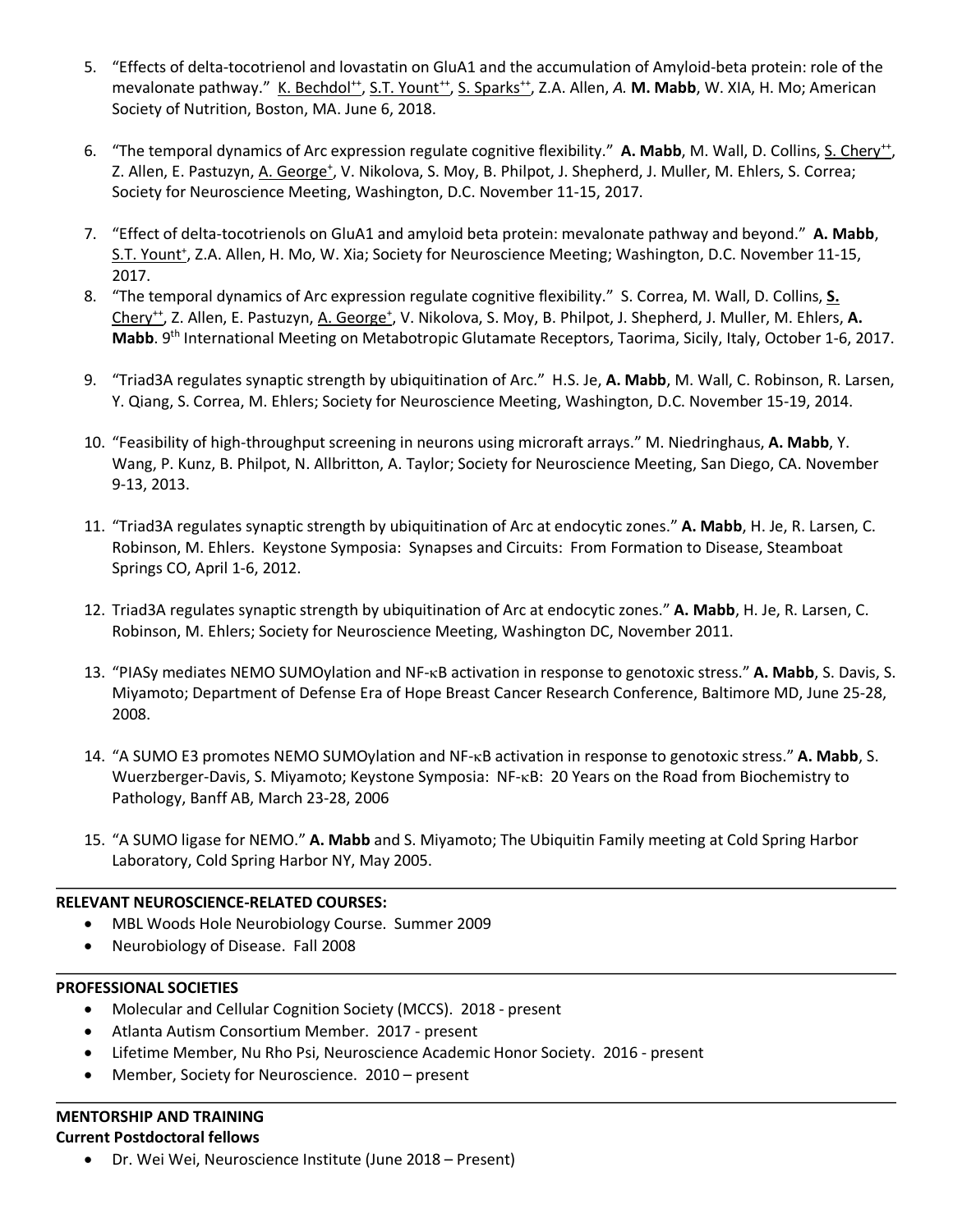- 5. "Effects of delta-tocotrienol and lovastatin on GluA1 and the accumulation of Amyloid-beta protein: role of the mevalonate pathway." K. Bechdol<sup>++</sup>, S.T. Yount<sup>++</sup>, S. Sparks<sup>++</sup>, Z.A. Allen, A. M. Mabb, W. XIA, H. Mo; American Society of Nutrition, Boston, MA. June 6, 2018.
- 6. "The temporal dynamics of Arc expression regulate cognitive flexibility." A. Mabb, M. Wall, D. Collins, S. Chery<sup>++</sup>, Z. Allen, E. Pastuzyn, A. George<sup>+</sup>, V. Nikolova, S. Moy, B. Philpot, J. Shepherd, J. Muller, M. Ehlers, S. Correa; Society for Neuroscience Meeting, Washington, D.C. November 11-15, 2017.
- 7. "Effect of delta-tocotrienols on GluA1 and amyloid beta protein: mevalonate pathway and beyond." **A. Mabb**, S.T. Yount<sup>+</sup>, Z.A. Allen, H. Mo, W. Xia; Society for Neuroscience Meeting; Washington, D.C. November 11-15, 2017.
- 8. "The temporal dynamics of Arc expression regulate cognitive flexibility." S. Correa, M. Wall, D. Collins, **S.**  Chery<sup>++</sup>, Z. Allen, E. Pastuzyn, A. George<sup>+</sup>, V. Nikolova, S. Moy, B. Philpot, J. Shepherd, J. Muller, M. Ehlers, A. **Mabb**. 9th International Meeting on Metabotropic Glutamate Receptors, Taorima, Sicily, Italy, October 1-6, 2017.
- 9. "Triad3A regulates synaptic strength by ubiquitination of Arc." H.S. Je, **A. Mabb**, M. Wall, C. Robinson, R. Larsen, Y. Qiang, S. Correa, M. Ehlers; Society for Neuroscience Meeting, Washington, D.C. November 15-19, 2014.
- 10. "Feasibility of high-throughput screening in neurons using microraft arrays." M. Niedringhaus, **A. Mabb**, Y. Wang, P. Kunz, B. Philpot, N. Allbritton, A. Taylor; Society for Neuroscience Meeting, San Diego, CA. November 9-13, 2013.
- 11. "Triad3A regulates synaptic strength by ubiquitination of Arc at endocytic zones." **A. Mabb**, H. Je, R. Larsen, C. Robinson, M. Ehlers. Keystone Symposia: Synapses and Circuits: From Formation to Disease, Steamboat Springs CO, April 1-6, 2012.
- 12. Triad3A regulates synaptic strength by ubiquitination of Arc at endocytic zones." **A. Mabb**, H. Je, R. Larsen, C. Robinson, M. Ehlers; Society for Neuroscience Meeting, Washington DC, November 2011.
- 13. "PIASy mediates NEMO SUMOylation and NF-kB activation in response to genotoxic stress." **A. Mabb**, S. Davis, S. Miyamoto; Department of Defense Era of Hope Breast Cancer Research Conference, Baltimore MD, June 25-28, 2008.
- 14. "A SUMO E3 promotes NEMO SUMOylation and NF-kB activation in response to genotoxic stress." **A. Mabb**, S. Wuerzberger-Davis, S. Miyamoto; Keystone Symposia: NF-kB: 20 Years on the Road from Biochemistry to Pathology, Banff AB, March 23-28, 2006
- 15. "A SUMO ligase for NEMO." **A. Mabb** and S. Miyamoto; The Ubiquitin Family meeting at Cold Spring Harbor Laboratory, Cold Spring Harbor NY, May 2005.

## **RELEVANT NEUROSCIENCE-RELATED COURSES:**

- MBL Woods Hole Neurobiology Course. Summer 2009
- Neurobiology of Disease. Fall 2008

#### **PROFESSIONAL SOCIETIES**

- Molecular and Cellular Cognition Society (MCCS). 2018 present
- Atlanta Autism Consortium Member. 2017 present
- Lifetime Member, Nu Rho Psi, Neuroscience Academic Honor Society. 2016 present
- Member, Society for Neuroscience. 2010 present

## **MENTORSHIP AND TRAINING**

## **Current Postdoctoral fellows**

• Dr. Wei Wei, Neuroscience Institute (June 2018 – Present)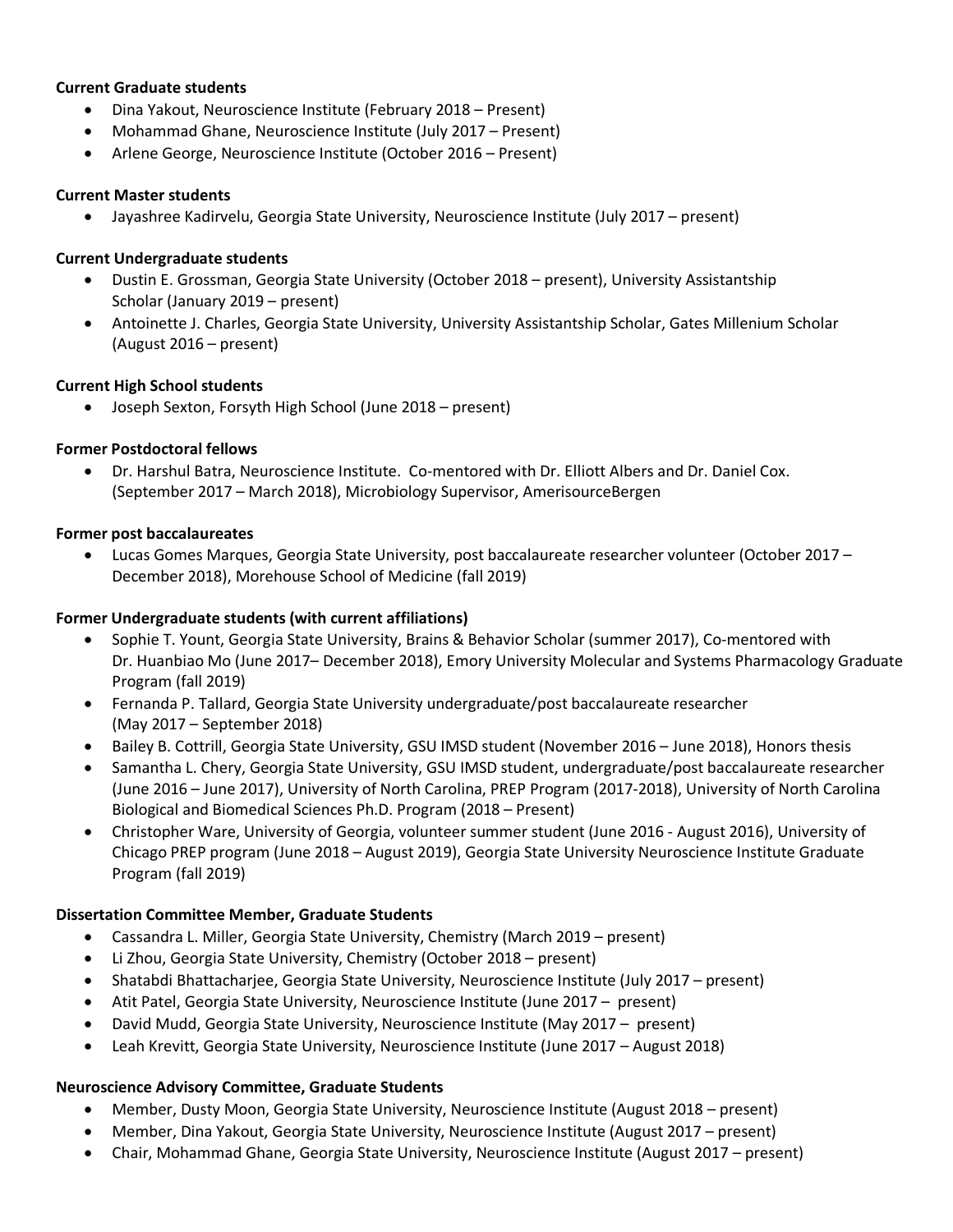#### **Current Graduate students**

- Dina Yakout, Neuroscience Institute (February 2018 Present)
- Mohammad Ghane, Neuroscience Institute (July 2017 Present)
- Arlene George, Neuroscience Institute (October 2016 Present)

#### **Current Master students**

• Jayashree Kadirvelu, Georgia State University, Neuroscience Institute (July 2017 – present)

#### **Current Undergraduate students**

- Dustin E. Grossman, Georgia State University (October 2018 present), University Assistantship Scholar (January 2019 – present)
- Antoinette J. Charles, Georgia State University, University Assistantship Scholar, Gates Millenium Scholar (August 2016 – present)

#### **Current High School students**

• Joseph Sexton, Forsyth High School (June 2018 – present)

## **Former Postdoctoral fellows**

• Dr. Harshul Batra, Neuroscience Institute. Co-mentored with Dr. Elliott Albers and Dr. Daniel Cox. (September 2017 – March 2018), Microbiology Supervisor, AmerisourceBergen

#### **Former post baccalaureates**

• Lucas Gomes Marques, Georgia State University, post baccalaureate researcher volunteer (October 2017 – December 2018), Morehouse School of Medicine (fall 2019)

## **Former Undergraduate students (with current affiliations)**

- Sophie T. Yount, Georgia State University, Brains & Behavior Scholar (summer 2017), Co-mentored with Dr. Huanbiao Mo (June 2017– December 2018), Emory University Molecular and Systems Pharmacology Graduate Program (fall 2019)
- Fernanda P. Tallard, Georgia State University undergraduate/post baccalaureate researcher (May 2017 – September 2018)
- Bailey B. Cottrill, Georgia State University, GSU IMSD student (November 2016 June 2018), Honors thesis
- Samantha L. Chery, Georgia State University, GSU IMSD student, undergraduate/post baccalaureate researcher (June 2016 – June 2017), University of North Carolina, PREP Program (2017-2018), University of North Carolina Biological and Biomedical Sciences Ph.D. Program (2018 – Present)
- Christopher Ware, University of Georgia, volunteer summer student (June 2016 August 2016), University of Chicago PREP program (June 2018 – August 2019), Georgia State University Neuroscience Institute Graduate Program (fall 2019)

#### **Dissertation Committee Member, Graduate Students**

- Cassandra L. Miller, Georgia State University, Chemistry (March 2019 present)
- Li Zhou, Georgia State University, Chemistry (October 2018 present)
- Shatabdi Bhattacharjee, Georgia State University, Neuroscience Institute (July 2017 present)
- Atit Patel, Georgia State University, Neuroscience Institute (June 2017 present)
- David Mudd, Georgia State University, Neuroscience Institute (May 2017 present)
- Leah Krevitt, Georgia State University, Neuroscience Institute (June 2017 August 2018)

#### **Neuroscience Advisory Committee, Graduate Students**

- Member, Dusty Moon, Georgia State University, Neuroscience Institute (August 2018 present)
- Member, Dina Yakout, Georgia State University, Neuroscience Institute (August 2017 present)
- Chair, Mohammad Ghane, Georgia State University, Neuroscience Institute (August 2017 present)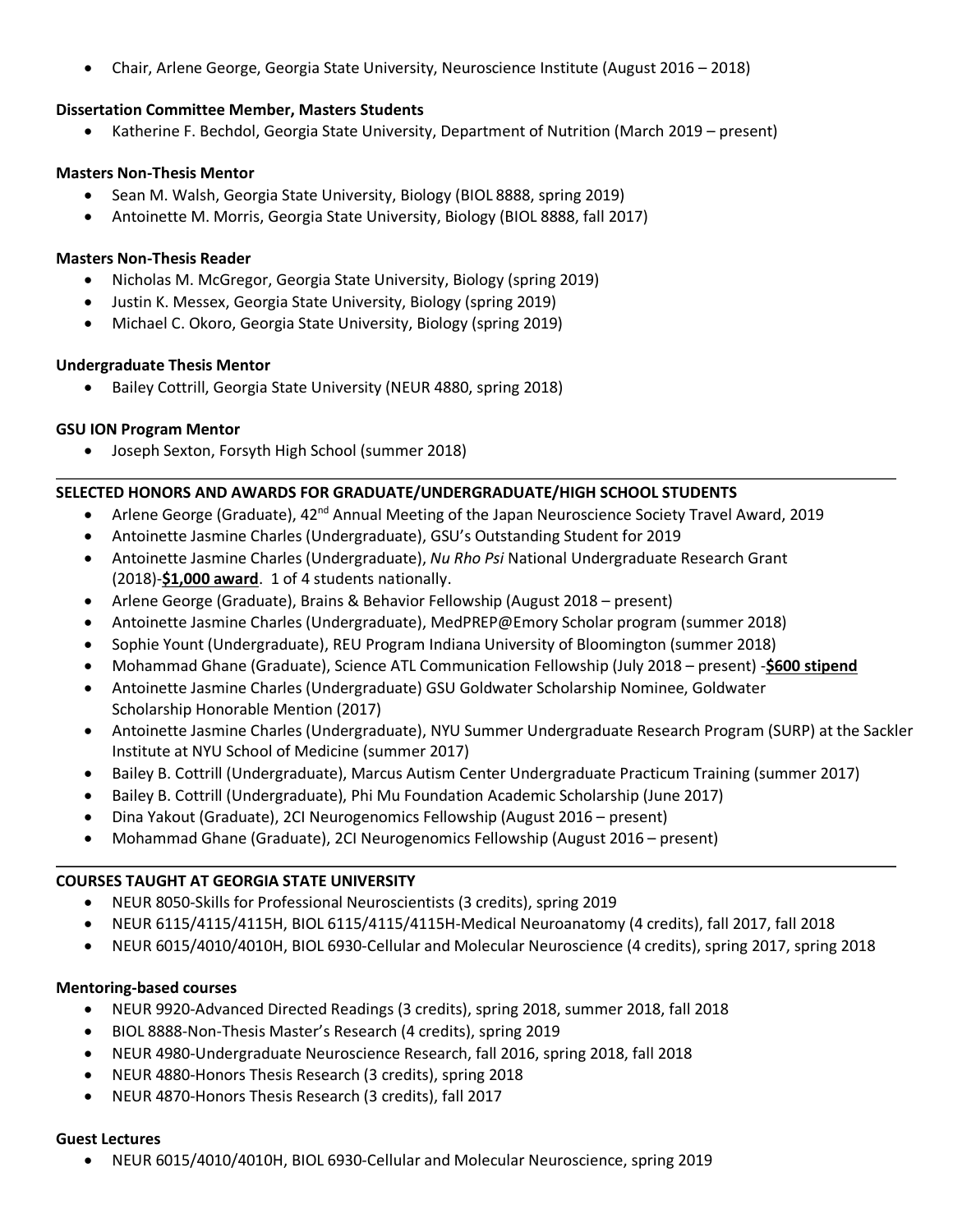• Chair, Arlene George, Georgia State University, Neuroscience Institute (August 2016 – 2018)

#### **Dissertation Committee Member, Masters Students**

• Katherine F. Bechdol, Georgia State University, Department of Nutrition (March 2019 – present)

#### **Masters Non-Thesis Mentor**

- Sean M. Walsh, Georgia State University, Biology (BIOL 8888, spring 2019)
- Antoinette M. Morris, Georgia State University, Biology (BIOL 8888, fall 2017)

#### **Masters Non-Thesis Reader**

- Nicholas M. McGregor, Georgia State University, Biology (spring 2019)
- Justin K. Messex, Georgia State University, Biology (spring 2019)
- Michael C. Okoro, Georgia State University, Biology (spring 2019)

#### **Undergraduate Thesis Mentor**

• Bailey Cottrill, Georgia State University (NEUR 4880, spring 2018)

#### **GSU ION Program Mentor**

• Joseph Sexton, Forsyth High School (summer 2018)

#### **SELECTED HONORS AND AWARDS FOR GRADUATE/UNDERGRADUATE/HIGH SCHOOL STUDENTS**

- Arlene George (Graduate),  $42^{nd}$  Annual Meeting of the Japan Neuroscience Society Travel Award, 2019
- Antoinette Jasmine Charles (Undergraduate), GSU's Outstanding Student for 2019
- Antoinette Jasmine Charles (Undergraduate), *Nu Rho Psi* National Undergraduate Research Grant (2018)-**\$1,000 award**. 1 of 4 students nationally.
- Arlene George (Graduate), Brains & Behavior Fellowship (August 2018 present)
- Antoinette Jasmine Charles (Undergraduate), MedPREP@Emory Scholar program (summer 2018)
- Sophie Yount (Undergraduate), REU Program Indiana University of Bloomington (summer 2018)
- Mohammad Ghane (Graduate), Science ATL Communication Fellowship (July 2018 present) -**\$600 stipend**
- Antoinette Jasmine Charles (Undergraduate) GSU Goldwater Scholarship Nominee, Goldwater Scholarship Honorable Mention (2017)
- Antoinette Jasmine Charles (Undergraduate), NYU Summer Undergraduate Research Program (SURP) at the Sackler Institute at NYU School of Medicine (summer 2017)
- Bailey B. Cottrill (Undergraduate), Marcus Autism Center Undergraduate Practicum Training (summer 2017)
- Bailey B. Cottrill (Undergraduate), Phi Mu Foundation Academic Scholarship (June 2017)
- Dina Yakout (Graduate), 2CI Neurogenomics Fellowship (August 2016 present)
- Mohammad Ghane (Graduate), 2CI Neurogenomics Fellowship (August 2016 present)

#### **COURSES TAUGHT AT GEORGIA STATE UNIVERSITY**

- NEUR 8050-Skills for Professional Neuroscientists (3 credits), spring 2019
- NEUR 6115/4115/4115H, BIOL 6115/4115/4115H-Medical Neuroanatomy (4 credits), fall 2017, fall 2018
- NEUR 6015/4010/4010H, BIOL 6930-Cellular and Molecular Neuroscience (4 credits), spring 2017, spring 2018

#### **Mentoring-based courses**

- NEUR 9920-Advanced Directed Readings (3 credits), spring 2018, summer 2018, fall 2018
- BIOL 8888-Non-Thesis Master's Research (4 credits), spring 2019
- NEUR 4980-Undergraduate Neuroscience Research, fall 2016, spring 2018, fall 2018
- NEUR 4880-Honors Thesis Research (3 credits), spring 2018
- NEUR 4870-Honors Thesis Research (3 credits), fall 2017

#### **Guest Lectures**

• NEUR 6015/4010/4010H, BIOL 6930-Cellular and Molecular Neuroscience, spring 2019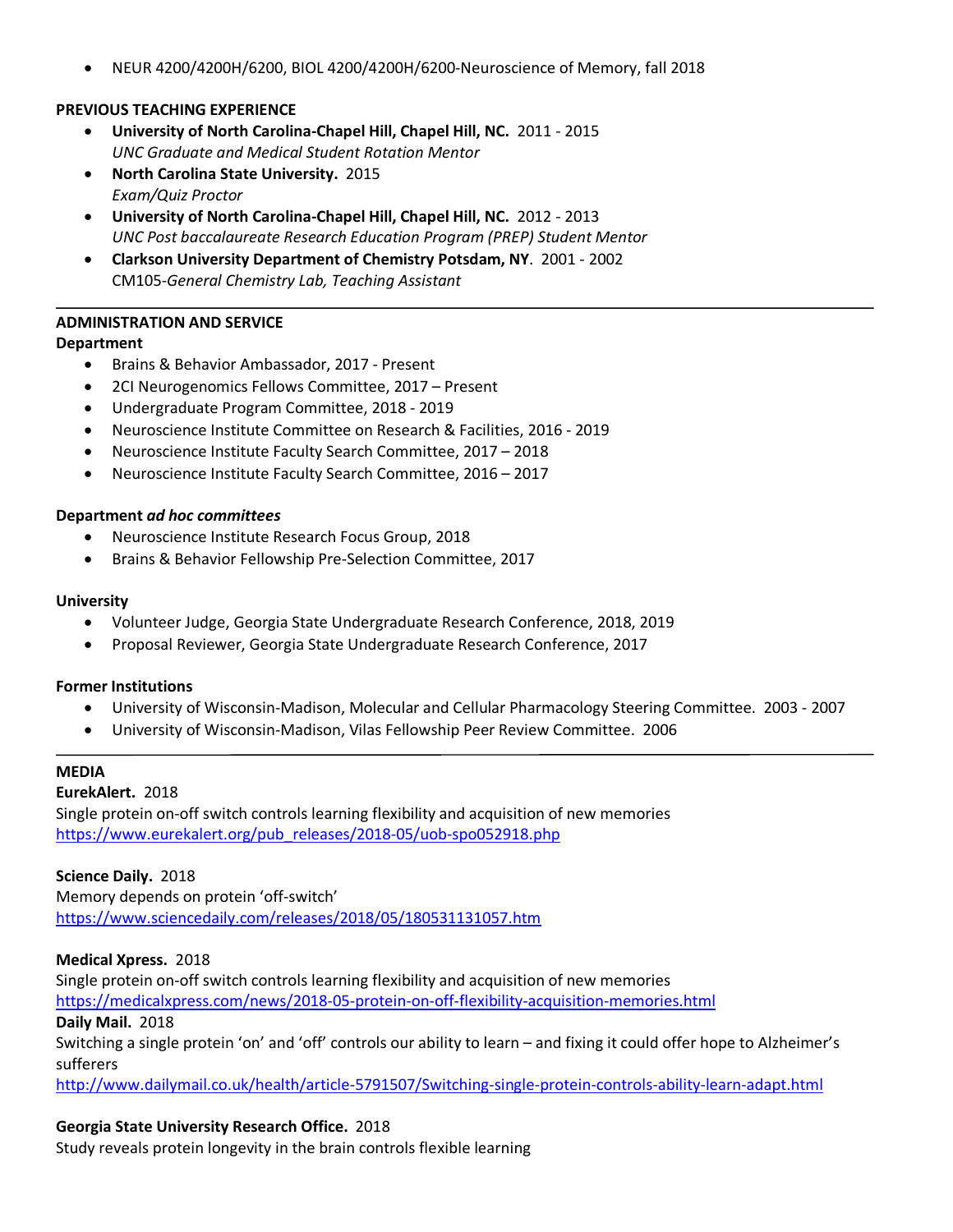• NEUR 4200/4200H/6200, BIOL 4200/4200H/6200-Neuroscience of Memory, fall 2018

## **PREVIOUS TEACHING EXPERIENCE**

- **University of North Carolina-Chapel Hill, Chapel Hill, NC.** 2011 2015 *UNC Graduate and Medical Student Rotation Mentor*
- **North Carolina State University.** 2015 *Exam/Quiz Proctor*
- **University of North Carolina-Chapel Hill, Chapel Hill, NC.** 2012 2013 *UNC Post baccalaureate Research Education Program (PREP) Student Mentor*
- **Clarkson University Department of Chemistry Potsdam, NY**. 2001 2002 CM105-*General Chemistry Lab, Teaching Assistant*

#### **ADMINISTRATION AND SERVICE**

#### **Department**

- Brains & Behavior Ambassador, 2017 Present
- 2CI Neurogenomics Fellows Committee, 2017 Present
- Undergraduate Program Committee, 2018 2019
- Neuroscience Institute Committee on Research & Facilities, 2016 2019
- Neuroscience Institute Faculty Search Committee, 2017 2018
- Neuroscience Institute Faculty Search Committee, 2016 2017

#### **Department** *ad hoc committees*

- Neuroscience Institute Research Focus Group, 2018
- Brains & Behavior Fellowship Pre-Selection Committee, 2017

#### **University**

- Volunteer Judge, Georgia State Undergraduate Research Conference, 2018, 2019
- Proposal Reviewer, Georgia State Undergraduate Research Conference, 2017

#### **Former Institutions**

- University of Wisconsin-Madison, Molecular and Cellular Pharmacology Steering Committee. 2003 2007
- University of Wisconsin-Madison, Vilas Fellowship Peer Review Committee. 2006

#### **MEDIA**

#### **EurekAlert.** 2018

Single protein on-off switch controls learning flexibility and acquisition of new memories https://www.eurekalert.org/pub\_releases/2018-05/uob-spo052918.php

## **Science Daily.** 2018

Memory depends on protein 'off-switch' https://www.sciencedaily.com/releases/2018/05/180531131057.htm

#### **Medical Xpress.** 2018

Single protein on-off switch controls learning flexibility and acquisition of new memories https://medicalxpress.com/news/2018-05-protein-on-off-flexibility-acquisition-memories.html **Daily Mail.** 2018 Switching a single protein 'on' and 'off' controls our ability to learn – and fixing it could offer hope to Alzheimer's sufferers

http://www.dailymail.co.uk/health/article-5791507/Switching-single-protein-controls-ability-learn-adapt.html

#### **Georgia State University Research Office.** 2018

Study reveals protein longevity in the brain controls flexible learning